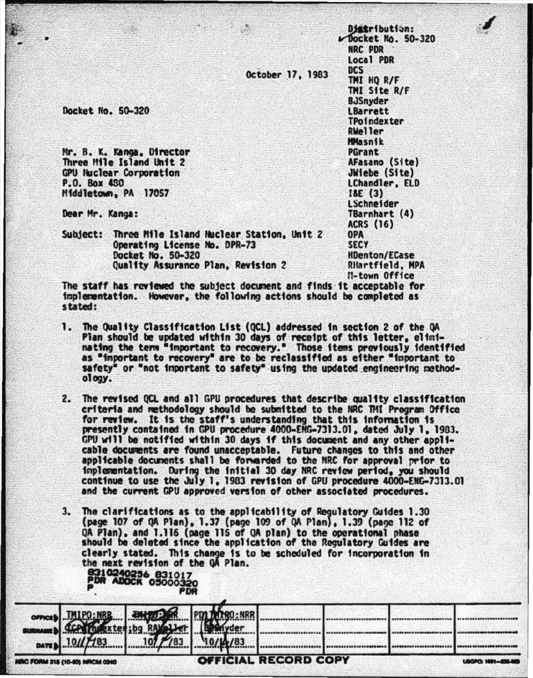October 17, 1983

Docket No. 50-320

Mr. B. K. Kanga, Director Three Hile Island Unit 2 **GPU Iluclear Corporation** P.O. Box 430 Middletown, PA 17057

Dear Mr. Kanga:

Subject: Three Mile Island Nuclear Station, Unit 2 Operating License No. DPR-73 Docket No. 50-320 Quality Assurance Plan, Revision 2

**CASS** 

Distribution: Docket No. 50-320 NRC PDR Local PDR **DCS** TMI HO R/F TMI Site R/F **BJSnyder LBarrett** TPoindexter **RWeller MMasnik** PGrant AFasano (Site) JWiebe (Site) LChandler, ELD  $18E(3)$ **LSchneider** TBarnhart (4) **ACRS (16) OPA SECY HDenton/ECase** RHartfield, MPA Il-town Office

The staff has reviewed the subject document and finds it acceptable for implementation. However, the following actions should be completed as stated:

- 1. The Quality Classification List (QCL) addressed in section 2 of the QA Pian should be updated within 30 days of receipt of this letter, eliminating the term "important to recovery." Those items previously identified as "important to recovery" are to be reclassified as either "important to safety" or "not important to safety" using the updated engineering methodology.
- 2. The revised OCL and all GPU procedures that describe quality classification criteria and methodology should be submitted to the NRC THI Program Office for review. It is the staff's understanding that this information is presently contained in GPU procedure 4000-ERG-7313.01, dated July 1, 1983. GPU will be notified within 30 days if this document and any other applicable documents are found unacceptable. Future changes to this and other applicable documents shall be forwarded to the NRC for approval prior to implementation. During the initial 30 day NRC review period, you should continue to use the July 1, 1983 revision of GPU procedure 4000-ENG-7313.01 and the current GPU approved version of other associated procedures.
- 3. The clarifications as to the applicability of Regulatory Guides 1.30 (page 107 of QA Plan), 1.37 (page 109 of QA Plan), 1.39 (page 112 of QA Plan), and 1.116 (page 115 of QA plan) to the operational phase should be deleted since the application of the Regulatory Guides are clearly stated. This change is to be scheduled for incorporation in the next revision of the OA Plan. 8310240256 831017

| RC FORM 318 (10-80) NRCM 0340 |                                                                   | OFFICIAL RECORD COPY |  | USGPO: 1981-826-920 |
|-------------------------------|-------------------------------------------------------------------|----------------------|--|---------------------|
|                               |                                                                   |                      |  |                     |
|                               |                                                                   |                      |  |                     |
|                               | er MIPO: MRB 24/23 POLITICS.NRR<br>MARIA 10//783 10/7/83 10/14/83 |                      |  |                     |